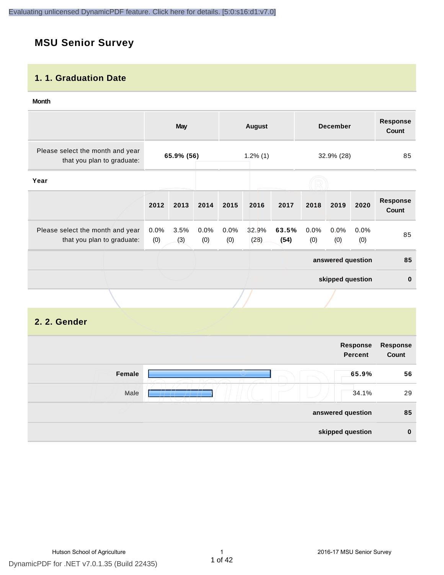# **MSU Senior Survey**

#### **1. 1. Graduation Date**

#### **Month**

|                                                                |                           | <b>May</b>  |             |             | <b>August</b> |               |             | <b>December</b>   |             | <b>Response</b><br><b>Count</b> |
|----------------------------------------------------------------|---------------------------|-------------|-------------|-------------|---------------|---------------|-------------|-------------------|-------------|---------------------------------|
| Please select the month and year<br>that you plan to graduate: | 65.9% (56)<br>$1.2\%$ (1) |             | 32.9% (28)  |             | 85            |               |             |                   |             |                                 |
| Year                                                           |                           |             |             |             |               |               |             |                   |             |                                 |
|                                                                | 2012                      | 2013        | 2014        | 2015        | 2016          | 2017          | 2018        | 2019              | 2020        | <b>Response</b><br><b>Count</b> |
| Please select the month and year<br>that you plan to graduate: | 0.0%<br>(0)               | 3.5%<br>(3) | 0.0%<br>(0) | 0.0%<br>(0) | 32.9%<br>(28) | 63.5%<br>(54) | 0.0%<br>(0) | $0.0\%$<br>(0)    | 0.0%<br>(0) | 85                              |
|                                                                |                           |             |             |             |               |               |             | answered question |             | 85                              |
|                                                                |                           |             |             |             |               |               |             | skipped question  |             | $\mathbf 0$                     |
|                                                                |                           |             |             |             |               |               |             |                   |             |                                 |

# **2. 2. Gender**

|        | <b>Response</b><br><b>Percent</b> | Response<br>Count |
|--------|-----------------------------------|-------------------|
| Female | 65.9%                             | 56                |
| Male   | 34.1%                             | 29                |
|        | answered question                 | 85                |
|        | skipped question                  | $\bf{0}$          |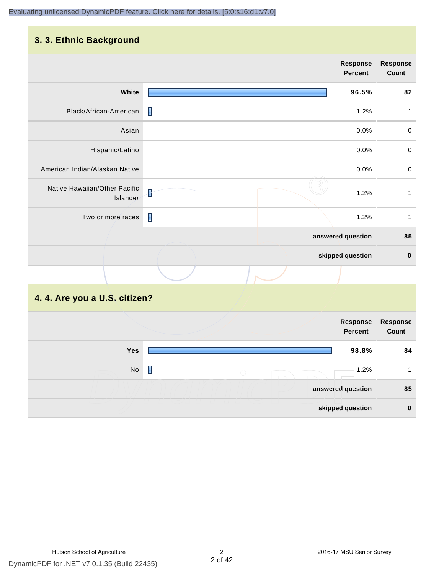#### **3. 3. Ethnic Background**

|                                           |   | <b>Response</b><br><b>Percent</b> | <b>Response</b><br>Count |
|-------------------------------------------|---|-----------------------------------|--------------------------|
| White                                     |   | 96.5%                             | 82                       |
| Black/African-American                    | П | 1.2%                              | 1                        |
| Asian                                     |   | 0.0%                              | $\pmb{0}$                |
| Hispanic/Latino                           |   | 0.0%                              | $\mathbf 0$              |
| American Indian/Alaskan Native            |   | 0.0%                              | $\mathbf 0$              |
| Native Hawaiian/Other Pacific<br>Islander | ł | 1.2%                              | $\mathbf{1}$             |
| Two or more races                         | П | 1.2%                              | 1                        |
|                                           |   | answered question                 | 85                       |
|                                           |   | skipped question                  | $\pmb{0}$                |
|                                           |   |                                   |                          |

# **4. 4. Are you a U.S. citizen?**

|     |                 | Response<br><b>Percent</b> | <b>Response</b><br>Count |
|-----|-----------------|----------------------------|--------------------------|
| Yes |                 | 98.8%                      | 84                       |
| No  | П<br>$\bigcirc$ | 1.2%                       |                          |
|     |                 | answered question          | 85                       |
|     |                 | skipped question           | $\mathbf{0}$             |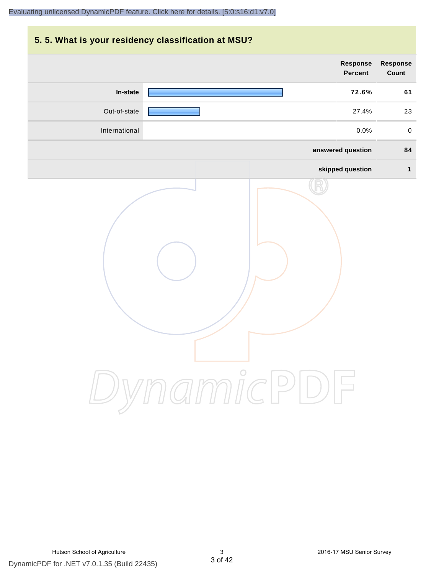# **5. 5. What is your residency classification at MSU? Response Response Percent Count In-state 72.6% 61** Out-of-state 27.4% 23 International 0.0% 0 **answered question 84 skipped question 1** DynamicPDF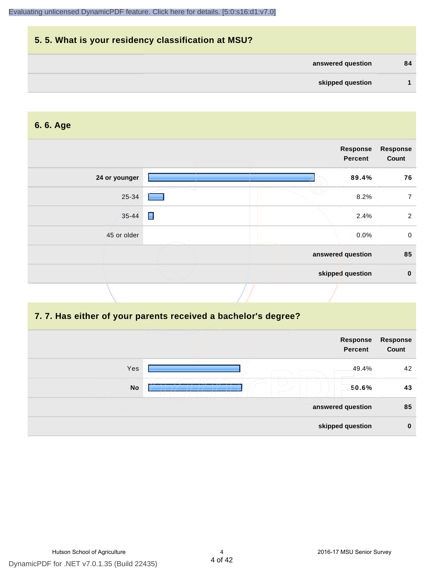| 5.5. What is your residency classification at MSU? |    |
|----------------------------------------------------|----|
| answered question                                  | 84 |
| skipped question                                   |    |

#### **6. 6. Age**

|               | Response<br><b>Percent</b> | <b>Response</b><br>Count |
|---------------|----------------------------|--------------------------|
| 24 or younger | 89.4%                      | 76                       |
| 25-34         | 8.2%                       | 7                        |
| $35 - 44$     | $\blacksquare$<br>2.4%     | 2                        |
| 45 or older   | 0.0%                       | $\mathbf 0$              |
|               | answered question          | 85                       |
|               | skipped question           | $\mathbf 0$              |

#### **7. 7. Has either of your parents received a bachelor's degree?**

|           | Response<br><b>Percent</b> | Response<br>Count |
|-----------|----------------------------|-------------------|
| Yes       | 49.4%                      | 42                |
| <b>No</b> | 50.6%                      | 43                |
|           | answered question          | 85                |
|           | skipped question           | $\bf{0}$          |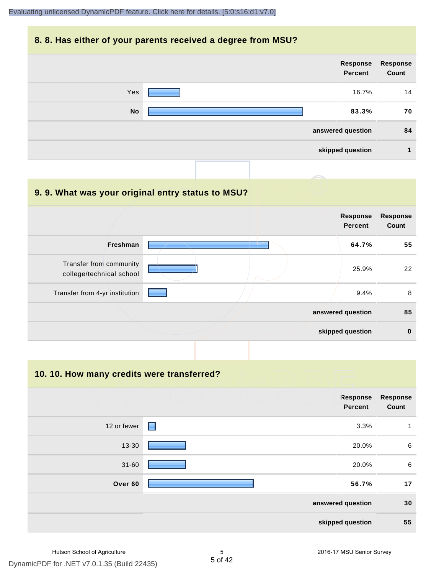#### **8. 8. Has either of your parents received a degree from MSU?**

|           | Response<br>Percent | Response<br>Count |
|-----------|---------------------|-------------------|
| Yes       | 16.7%               | 14                |
| <b>No</b> | 83.3%               | 70                |
|           | answered question   | 84                |
|           | skipped question    | л                 |

# **9. 9. What was your original entry status to MSU? answered question 85 skipped question 0 Response Percent Response Count Freshman 64.7% 55** Transfer from community college/technical school 25.9% 22 Transfer from 4-yr institution  $\begin{array}{|c|c|c|c|c|}\n\hline\n\text{1} & \text{2.4\%} & \text{3.4\%} \\
\hline\n\end{array}$

**10. 10. How many credits were transferred?**

|             |                   | Response<br><b>Percent</b> | <b>Response</b><br>Count |
|-------------|-------------------|----------------------------|--------------------------|
| 12 or fewer | Е                 | 3.3%                       | 1                        |
| 13-30       |                   | 20.0%                      | 6                        |
| $31 - 60$   |                   | 20.0%                      | 6                        |
| Over 60     |                   | 56.7%                      | 17                       |
|             | answered question |                            | 30                       |
|             |                   | skipped question           | 55                       |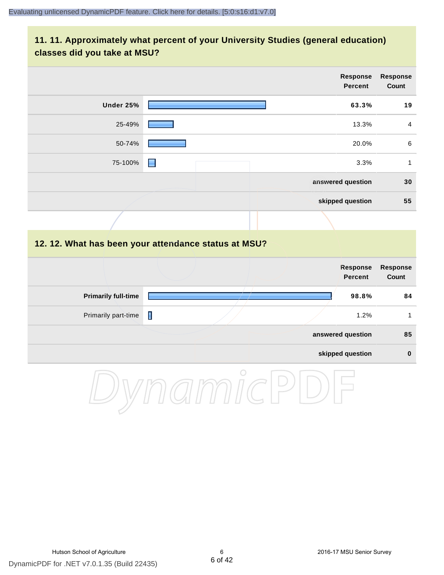#### **11. 11. Approximately what percent of your University Studies (general education) classes did you take at MSU?**

|                                                      |   |                                                                                                                                  | Response<br><b>Percent</b>        | <b>Response</b><br>Count |
|------------------------------------------------------|---|----------------------------------------------------------------------------------------------------------------------------------|-----------------------------------|--------------------------|
| Under 25%                                            |   |                                                                                                                                  | 63.3%                             | 19                       |
| 25-49%                                               |   |                                                                                                                                  | 13.3%                             | $\overline{4}$           |
| 50-74%                                               |   |                                                                                                                                  | 20.0%                             | $\,6\,$                  |
| 75-100%                                              | ▉ |                                                                                                                                  | 3.3%                              | $\mathbf{1}$             |
|                                                      |   |                                                                                                                                  | answered question                 | 30                       |
|                                                      |   |                                                                                                                                  | skipped question                  | 55                       |
|                                                      |   |                                                                                                                                  |                                   |                          |
| 12. 12. What has been your attendance status at MSU? |   |                                                                                                                                  |                                   |                          |
|                                                      |   |                                                                                                                                  | <b>Response</b><br><b>Percent</b> | <b>Response</b><br>Count |
| <b>Primarily full-time</b>                           |   |                                                                                                                                  | 98.8%                             | 84                       |
| Primarily part-time                                  | П |                                                                                                                                  | 1.2%                              | $\mathbf{1}$             |
|                                                      |   |                                                                                                                                  | answered question                 | 85                       |
|                                                      |   |                                                                                                                                  | skipped question                  | $\pmb{0}$                |
|                                                      |   | $\cap$<br><u> a shekara ta 1991 a shekara ta 1991 a shekara ta 1991 a shekara ta 1991 a shekara ta 1991 a shekara ta 1991 a </u> |                                   |                          |

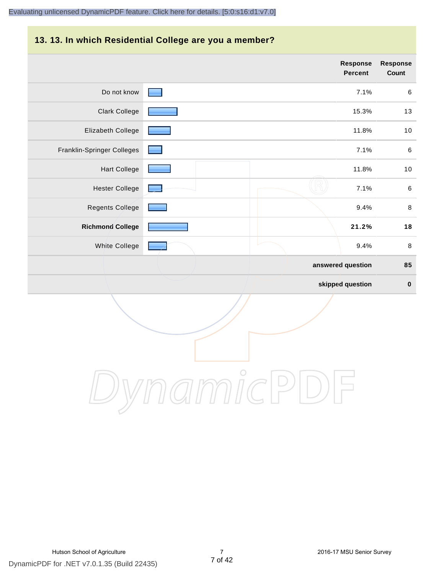# **13. 13. In which Residential College are you a member?**

|                            | <b>Response</b><br><b>Percent</b> | <b>Response</b><br>Count |
|----------------------------|-----------------------------------|--------------------------|
| Do not know                | 7.1%                              | 6                        |
| <b>Clark College</b>       | 15.3%                             | 13                       |
| Elizabeth College          | 11.8%                             | $10$                     |
| Franklin-Springer Colleges | 7.1%                              | $\,6\,$                  |
| <b>Hart College</b>        | 11.8%                             | 10                       |
| <b>Hester College</b>      | 7.1%                              | $\,6\,$                  |
| <b>Regents College</b>     | 9.4%                              | $\,8\,$                  |
| <b>Richmond College</b>    | 21.2%                             | 18                       |
| White College              | 9.4%                              | $\,8\,$                  |
|                            | answered question                 | 85                       |
|                            | skipped question                  | $\pmb{0}$                |

DynamicPDF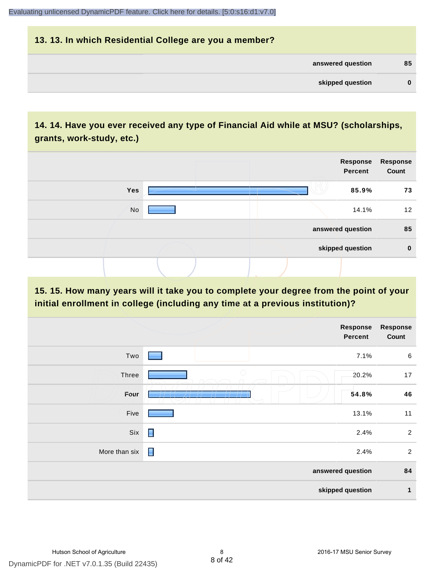| 13. 13. In which Residential College are you a member? |          |
|--------------------------------------------------------|----------|
| answered question                                      | 85       |
| skipped question                                       | $\bf{0}$ |

## **14. 14. Have you ever received any type of Financial Aid while at MSU? (scholarships, grants, work-study, etc.)**



**15. 15. How many years will it take you to complete your degree from the point of your initial enrollment in college (including any time at a previous institution)?**

|                   | <b>Response</b><br>Percent                      | Response<br>Count |
|-------------------|-------------------------------------------------|-------------------|
| Two               | 7.1%                                            | $\,6\,$           |
| Three             | $\bigcirc$<br>20.2%                             | 17                |
| Four              | 54.8%<br>________<br>$\prime$ $\prime$ $\prime$ | 46                |
| Five              | 13.1%                                           | 11                |
| Six               | $\blacksquare$<br>2.4%                          | $\sqrt{2}$        |
| More than six     | Ε<br>2.4%                                       | $\overline{c}$    |
| answered question |                                                 |                   |
|                   | skipped question                                | 1                 |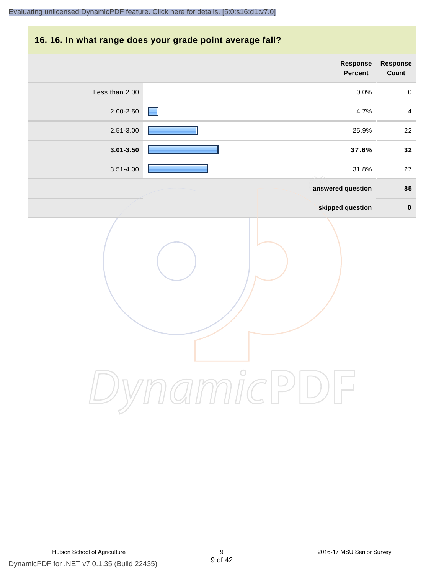#### **16. 16. In what range does your grade point average fall?**

|                | Response<br>Percent              |                |  |
|----------------|----------------------------------|----------------|--|
| Less than 2.00 | 0.0%                             | $\pmb{0}$      |  |
| 2.00-2.50      | 4.7%                             | $\overline{4}$ |  |
| 2.51-3.00      | 25.9%                            | 22             |  |
| $3.01 - 3.50$  | 37.6%                            | 32             |  |
| $3.51 - 4.00$  | 31.8%                            | 27             |  |
|                | answered question                | 85             |  |
|                | skipped question                 | $\mathbf 0$    |  |
|                | micl<br>$\overline{\phantom{1}}$ |                |  |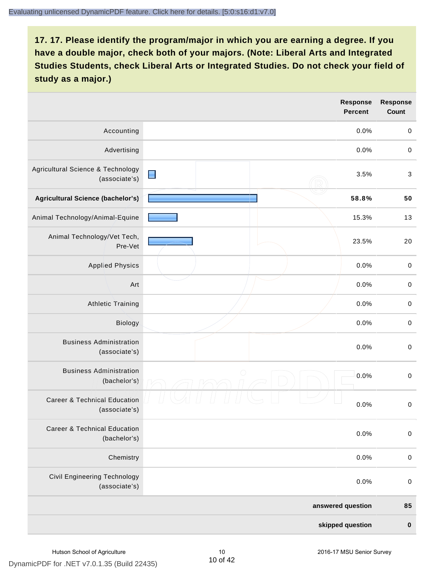|                                                          | <b>Response</b><br><b>Percent</b> |  | <b>Response</b><br>Count |
|----------------------------------------------------------|-----------------------------------|--|--------------------------|
| Accounting                                               | 0.0%                              |  | $\mathbf 0$              |
| Advertising                                              | 0.0%                              |  | $\,0\,$                  |
| Agricultural Science & Technology<br>(associate's)       | $\blacksquare$<br>3.5%            |  | $\sqrt{3}$               |
| <b>Agricultural Science (bachelor's)</b>                 | 58.8%                             |  | 50                       |
| Animal Technology/Animal-Equine                          | 15.3%                             |  | 13                       |
| Animal Technology/Vet Tech,<br>Pre-Vet                   | 23.5%                             |  | 20                       |
| <b>Applied Physics</b>                                   | 0.0%                              |  | $\mathbf 0$              |
| Art                                                      | 0.0%                              |  | $\,0\,$                  |
| <b>Athletic Training</b>                                 | 0.0%                              |  | $\mathbf 0$              |
| Biology                                                  | 0.0%                              |  | $\,0\,$                  |
| <b>Business Administration</b><br>(associate's)          | 0.0%                              |  | $\mathbf 0$              |
| <b>Business Administration</b><br>(bachelor's)           | $\bigcirc$<br>0.0%                |  | $\mbox{O}$               |
| <b>Career &amp; Technical Education</b><br>(associate's) | 0.0%                              |  | $\mathbf 0$              |
| <b>Career &amp; Technical Education</b><br>(bachelor's)  | 0.0%                              |  | $\mathbf 0$              |
| Chemistry                                                | 0.0%                              |  | $\mathsf{O}\xspace$      |
| <b>Civil Engineering Technology</b><br>(associate's)     | 0.0%                              |  | $\mathbf 0$              |
|                                                          | answered question                 |  | 85                       |
|                                                          | skipped question                  |  | $\pmb{0}$                |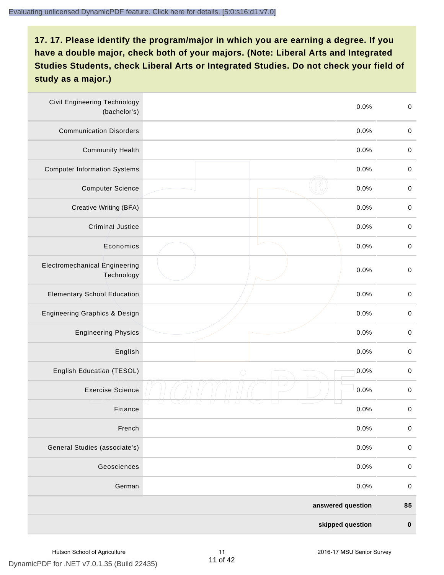| <b>Civil Engineering Technology</b><br>(bachelor's) | 0.0%               | $\mbox{O}$  |
|-----------------------------------------------------|--------------------|-------------|
| <b>Communication Disorders</b>                      | 0.0%               | $\mathbf 0$ |
| <b>Community Health</b>                             | 0.0%               | $\,0\,$     |
| <b>Computer Information Systems</b>                 | 0.0%               | $\,0\,$     |
| <b>Computer Science</b>                             | 0.0%               | $\mathbf 0$ |
| Creative Writing (BFA)                              | 0.0%               | $\mathbf 0$ |
| <b>Criminal Justice</b>                             | 0.0%               | $\mathbf 0$ |
| Economics                                           | 0.0%               | $\,0\,$     |
| <b>Electromechanical Engineering</b><br>Technology  | 0.0%               | $\pmb{0}$   |
| <b>Elementary School Education</b>                  | 0.0%               | $\mathbf 0$ |
| <b>Engineering Graphics &amp; Design</b>            | 0.0%               | $\pmb{0}$   |
| <b>Engineering Physics</b>                          | 0.0%               | $\pmb{0}$   |
| English                                             | 0.0%               | $\pmb{0}$   |
| English Education (TESOL)                           | 0.0%<br>$\bigcirc$ | $\mathbf 0$ |
| <b>Exercise Science</b>                             | 0.0%               | $\pmb{0}$   |
| Finance                                             | 0.0%               | $\,0\,$     |
| French                                              | 0.0%               | $\pmb{0}$   |
| General Studies (associate's)                       | 0.0%               | $\mathbf 0$ |
| Geosciences                                         | 0.0%               | $\mathbf 0$ |
| German                                              | 0.0%               | $\mathbf 0$ |
|                                                     | answered question  | 85          |
|                                                     | skipped question   | $\pmb{0}$   |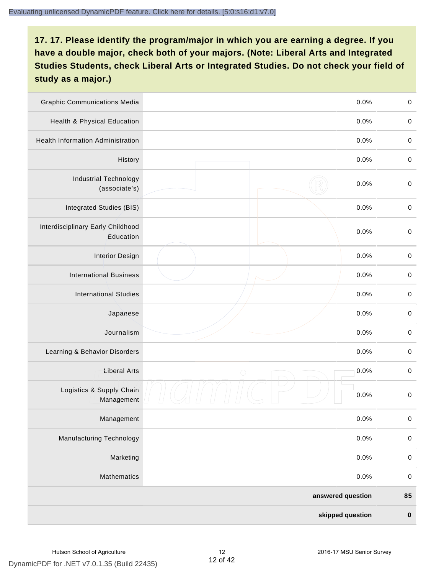| <b>Graphic Communications Media</b>            |                   | 0.0%      | $\,0\,$     |
|------------------------------------------------|-------------------|-----------|-------------|
| Health & Physical Education                    |                   | 0.0%      | $\mathbf 0$ |
| <b>Health Information Administration</b>       |                   | 0.0%      | $\mathbf 0$ |
| History                                        |                   | 0.0%      | $\pmb{0}$   |
| <b>Industrial Technology</b><br>(associate's)  |                   | 0.0%      | $\mathbf 0$ |
| Integrated Studies (BIS)                       |                   | 0.0%      | $\mathbf 0$ |
| Interdisciplinary Early Childhood<br>Education |                   | 0.0%      | $\mathbf 0$ |
| <b>Interior Design</b>                         |                   | 0.0%      | $\pmb{0}$   |
| <b>International Business</b>                  |                   | 0.0%      | $\mathbf 0$ |
| <b>International Studies</b>                   |                   | 0.0%      | $\,0\,$     |
| Japanese                                       |                   | 0.0%      | $\pmb{0}$   |
| Journalism                                     |                   | 0.0%      | $\pmb{0}$   |
| Learning & Behavior Disorders                  |                   | 0.0%      | $\pmb{0}$   |
| <b>Liberal Arts</b>                            | $\bigcirc$        | 0.0%      | $\mathbf 0$ |
| Logistics & Supply Chain<br>Management         |                   | 0.0%      | $\pmb{0}$   |
| Management                                     |                   | 0.0%      | $\pmb{0}$   |
| <b>Manufacturing Technology</b>                |                   | 0.0%      | $\pmb{0}$   |
| Marketing                                      |                   | 0.0%      | $\mathbf 0$ |
| Mathematics                                    |                   | 0.0%      | $\,0\,$     |
|                                                | answered question |           | 85          |
| skipped question                               |                   | $\pmb{0}$ |             |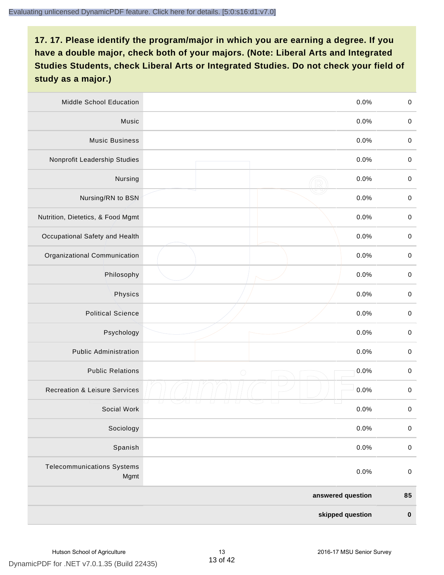| <b>Middle School Education</b>            | 0.0%               | $\mathbf 0$ |
|-------------------------------------------|--------------------|-------------|
| Music                                     | 0.0%               | $\mathbf 0$ |
| <b>Music Business</b>                     | 0.0%               | $\pmb{0}$   |
| Nonprofit Leadership Studies              | 0.0%               | $\mathbf 0$ |
| Nursing                                   | 0.0%               | $\pmb{0}$   |
| Nursing/RN to BSN                         | 0.0%               | $\,0\,$     |
| Nutrition, Dietetics, & Food Mgmt         | 0.0%               | $\mathbf 0$ |
| Occupational Safety and Health            | 0.0%               | $\mathbf 0$ |
| Organizational Communication              | 0.0%               | $\mathbf 0$ |
| Philosophy                                | 0.0%               | $\pmb{0}$   |
| Physics                                   | 0.0%               | $\pmb{0}$   |
| <b>Political Science</b>                  | 0.0%               | $\mathbf 0$ |
| Psychology                                | 0.0%               | $\mathbf 0$ |
| <b>Public Administration</b>              | 0.0%               | $\pmb{0}$   |
| <b>Public Relations</b>                   | 0.0%<br>$\bigcirc$ | $\pmb{0}$   |
| <b>Recreation &amp; Leisure Services</b>  | 0.0%               | $\pmb{0}$   |
| Social Work                               | 0.0%               | $\pmb{0}$   |
| Sociology                                 | 0.0%               | $\mathbf 0$ |
| Spanish                                   | 0.0%               | $\pmb{0}$   |
| <b>Telecommunications Systems</b><br>Mgmt | 0.0%               | $\mathbf 0$ |
|                                           | answered question  | 85          |
| skipped question                          |                    | $\pmb{0}$   |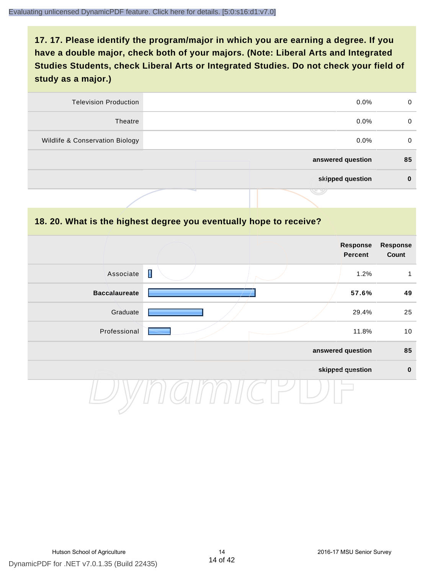| 0  | $0.0\%$           | <b>Television Production</b>    |
|----|-------------------|---------------------------------|
| 0  | $0.0\%$           | Theatre                         |
| 0  | $0.0\%$           | Wildlife & Conservation Biology |
| 85 | answered question |                                 |
| 0  | skipped question  |                                 |
|    | J 9               |                                 |

#### **18. 20. What is the highest degree you eventually hope to receive?**

|                      | Response<br>Percent |                   | <b>Response</b><br>Count |
|----------------------|---------------------|-------------------|--------------------------|
| Associate            | I                   | 1.2%              | 1                        |
| <b>Baccalaureate</b> |                     | 57.6%             | 49                       |
| Graduate             |                     | 29.4%             | 25                       |
| Professional         |                     | 11.8%             | 10                       |
|                      |                     | answered question | 85                       |
|                      |                     | skipped question  | $\mathbf 0$              |
|                      |                     |                   |                          |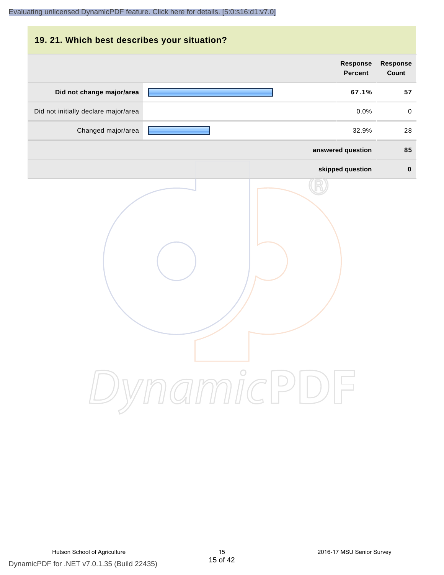| 19. 21. Which best describes your situation? |                   |                 |
|----------------------------------------------|-------------------|-----------------|
|                                              | <b>Response</b>   | <b>Response</b> |
|                                              | <b>Percent</b>    | <b>Count</b>    |
| Did not change major/area                    | 67.1%             | 57              |
| Did not initially declare major/area         | 0.0%              | $\mathbf 0$     |
| Changed major/area                           | 32.9%             | 28              |
|                                              | answered question | 85              |
|                                              | skipped question  | $\mathbf 0$     |
|                                              | DynamicPDF        |                 |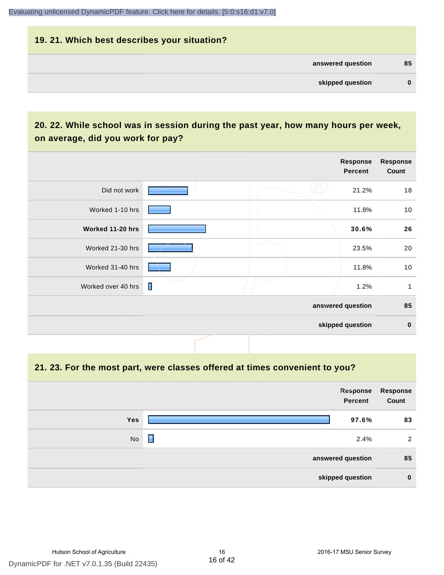# **19. 21. Which best describes your situation? answered question 85 skipped question 0**

# **20. 22. While school was in session during the past year, how many hours per week, on average, did you work for pay?**

|                    |   | Response<br><b>Percent</b> | <b>Response</b><br>Count |
|--------------------|---|----------------------------|--------------------------|
| Did not work       |   | 21.2%                      | 18                       |
| Worked 1-10 hrs    |   | 11.8%                      | 10                       |
| Worked 11-20 hrs   |   | 30.6%                      | 26                       |
| Worked 21-30 hrs   |   | 23.5%                      | 20                       |
| Worked 31-40 hrs   |   | 11.8%                      | 10                       |
| Worked over 40 hrs | П | 1.2%                       | 1                        |
|                    |   | answered question          | 85                       |
|                    |   | skipped question           | $\pmb{0}$                |

**21. 23. For the most part, were classes offered at times convenient to you?**

|                  | Response<br>Percent | Response<br>Count |
|------------------|---------------------|-------------------|
| <b>Yes</b>       | 97.6%               | 83                |
| No               | П<br>2.4%           | 2                 |
|                  | answered question   | 85                |
| skipped question |                     |                   |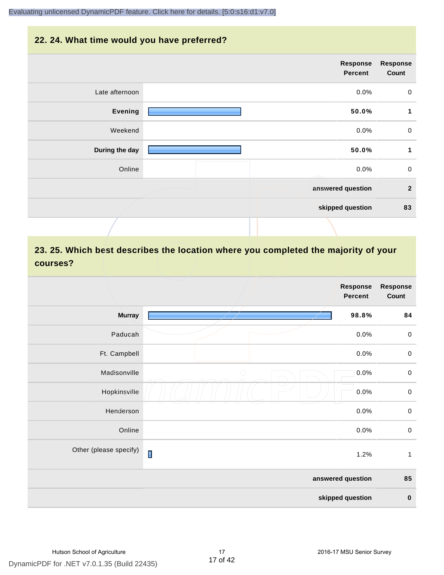#### **22. 24. What time would you have preferred?**

| <b>Response</b><br>Count | Response<br>Percent |                |
|--------------------------|---------------------|----------------|
| $\mathbf 0$              | 0.0%                | Late afternoon |
| 1                        | 50.0%               | <b>Evening</b> |
| $\mathbf 0$              | 0.0%                | Weekend        |
| $\mathbf{1}$             | 50.0%               | During the day |
| $\mathbf 0$              | 0.0%                | Online         |
| $\mathbf{2}$             | answered question   |                |
| 83                       | skipped question    |                |
|                          |                     |                |

# **23. 25. Which best describes the location where you completed the majority of your courses?**

|                        |                | Response<br><b>Percent</b> | <b>Response</b><br>Count |
|------------------------|----------------|----------------------------|--------------------------|
| <b>Murray</b>          |                | 98.8%                      | 84                       |
| Paducah                |                | 0.0%                       | $\,0\,$                  |
| Ft. Campbell           |                | 0.0%                       | $\,0\,$                  |
| Madisonville           | $\bigcirc$     | 0.0%                       | $\,0\,$                  |
| Hopkinsville           |                | 0.0%                       | $\mathbf 0$              |
| Henderson              |                | 0.0%                       | $\mathbf 0$              |
| Online                 |                | 0.0%                       | $\,0\,$                  |
| Other (please specify) | $\blacksquare$ | 1.2%                       | $\mathbf{1}$             |
|                        |                | answered question          | 85                       |
|                        |                | skipped question           | $\pmb{0}$                |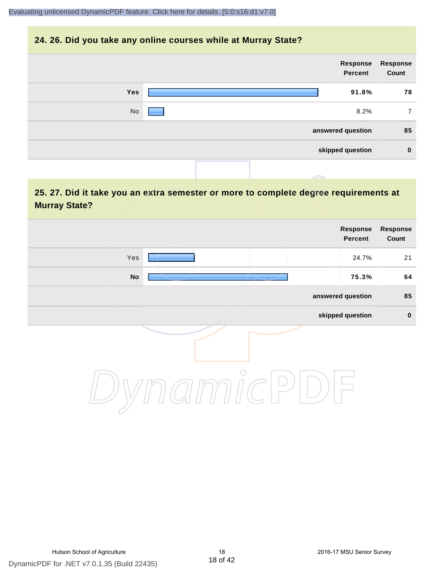#### **24. 26. Did you take any online courses while at Murray State?**

| Response<br>Count | Response<br>Percent |            |
|-------------------|---------------------|------------|
| 78                | 91.8%               | <b>Yes</b> |
| 7                 | 8.2%                | No         |
| 85                | answered question   |            |
| $\bf{0}$          | skipped question    |            |
|                   |                     |            |

## **25. 27. Did it take you an extra semester or more to complete degree requirements at Murray State?**

| <b>Response</b><br>Count | Response<br>Percent |                          |            |  |
|--------------------------|---------------------|--------------------------|------------|--|
| 21                       | 24.7%               |                          | Yes        |  |
| 64                       | 75.3%               | $\overline{\phantom{a}}$ | ${\sf No}$ |  |
| 85                       | answered question   |                          |            |  |
| $\pmb{0}$                | skipped question    |                          |            |  |
|                          |                     | $\circ$                  |            |  |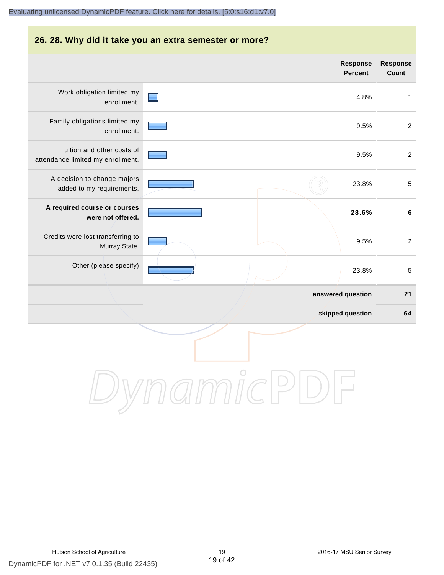#### **26. 28. Why did it take you an extra semester or more? Response Response Percent Count** Work obligation limited my and in 4.8% 1 enrollment. Family obligations limited my 9.5% 2 enrollment. Tuition and other costs of 9.5% 2 attendance limited my enrollment. A decision to change majors 23.8% 5 added to my requirements. **A required course or courses 28.6% 6 were not offered.** Credits were lost transferring to 9.5% 2 Murray State. Other (please specify) 23.8% 5 **answered question 21 skipped question 64**

DynamicPDF for .NET v7.0.1.35 (Build 22435) Hutson School of Agriculture 19 2016-17 MSU Senior Survey

DynamicPDI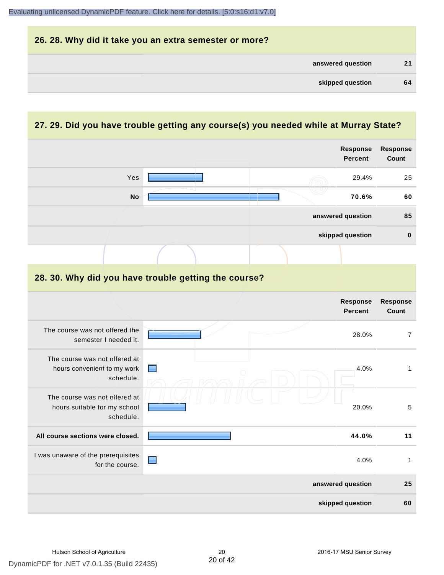| 26. 28. Why did it take you an extra semester or more? |    |
|--------------------------------------------------------|----|
| answered question                                      | 21 |
| skipped question                                       | 64 |

# **27. 29. Did you have trouble getting any course(s) you needed while at Murray State?**

|                                                                            |   | <b>Response</b><br><b>Percent</b> | <b>Response</b><br>Count |
|----------------------------------------------------------------------------|---|-----------------------------------|--------------------------|
| Yes                                                                        |   | 29.4%                             | 25                       |
| <b>No</b>                                                                  |   | 70.6%                             | 60                       |
|                                                                            |   | answered question                 | 85                       |
|                                                                            |   | skipped question                  | $\bf{0}$                 |
|                                                                            |   |                                   |                          |
| 28. 30. Why did you have trouble getting the course?                       |   |                                   |                          |
|                                                                            |   | Response<br><b>Percent</b>        | Response<br><b>Count</b> |
| The course was not offered the<br>semester I needed it.                    |   | 28.0%                             | $\overline{7}$           |
| The course was not offered at<br>hours convenient to my work<br>schedule.  |   | 4.0%                              | $\mathbf{1}$             |
| The course was not offered at<br>hours suitable for my school<br>schedule. |   | 20.0%                             | 5                        |
| All course sections were closed.                                           |   | 44.0%                             | 11                       |
| I was unaware of the prerequisites<br>for the course.                      | ■ | 4.0%                              | $\mathbf{1}$             |
|                                                                            |   | answered question                 | 25                       |
|                                                                            |   | skipped question                  | 60                       |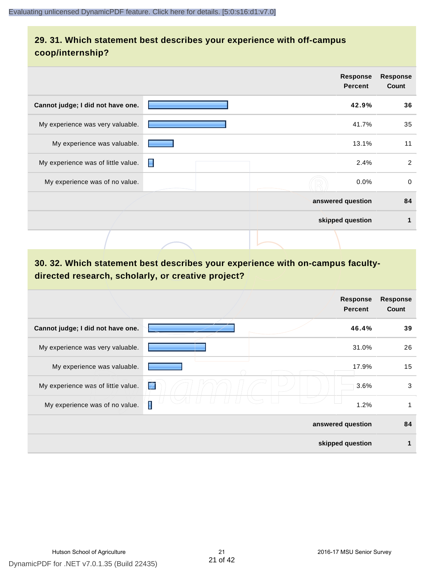## **29. 31. Which statement best describes your experience with off-campus coop/internship?**

|                                    |   | <b>Response</b><br><b>Percent</b> | <b>Response</b><br>Count |
|------------------------------------|---|-----------------------------------|--------------------------|
| Cannot judge; I did not have one.  |   | 42.9%                             | 36                       |
| My experience was very valuable.   |   | 41.7%                             | 35                       |
| My experience was valuable.        |   | 13.1%                             | 11                       |
| My experience was of little value. | П | 2.4%                              | $\overline{2}$           |
| My experience was of no value.     |   | $0.0\%$                           | 0                        |
|                                    |   | answered question                 | 84                       |
|                                    |   | skipped question                  | 1                        |
|                                    |   |                                   |                          |

# **30. 32. Which statement best describes your experience with on-campus facultydirected research, scholarly, or creative project?**

|                                    | <b>Response</b><br><b>Percent</b> | <b>Response</b><br>Count |
|------------------------------------|-----------------------------------|--------------------------|
| Cannot judge; I did not have one.  | 46.4%                             | 39                       |
| My experience was very valuable.   | 31.0%                             | 26                       |
| My experience was valuable.        | 17.9%                             | 15                       |
| My experience was of little value. | 吃<br>3.6%                         | 3                        |
| My experience was of no value.     | Π<br>1.2%                         |                          |
|                                    | answered question                 | 84                       |
|                                    | skipped question                  |                          |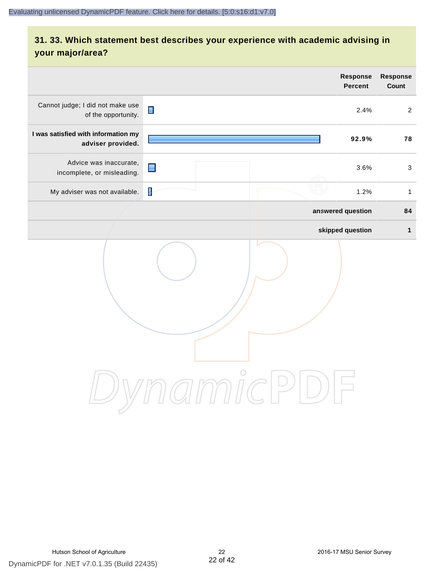# **31. 33. Which statement best describes your experience with academic advising in your major/area?**

|                                                          |                               | <b>Response</b><br><b>Percent</b> | Response<br>Count |
|----------------------------------------------------------|-------------------------------|-----------------------------------|-------------------|
| Cannot judge; I did not make use<br>of the opportunity.  | $\blacksquare$                | 2.4%                              | $\overline{2}$    |
| I was satisfied with information my<br>adviser provided. |                               | 92.9%                             | 78                |
| Advice was inaccurate,<br>incomplete, or misleading.     | $\blacksquare$                | 3.6%                              | $\mathbf{3}$      |
| My adviser was not available.                            | ł                             | 1.2%                              | $\mathbf{1}$      |
|                                                          |                               | answered question                 | 84                |
|                                                          |                               | skipped question                  | $\mathbf{1}$      |
|                                                          | $\mathfrak{Im}\mathfrak{nic}$ |                                   |                   |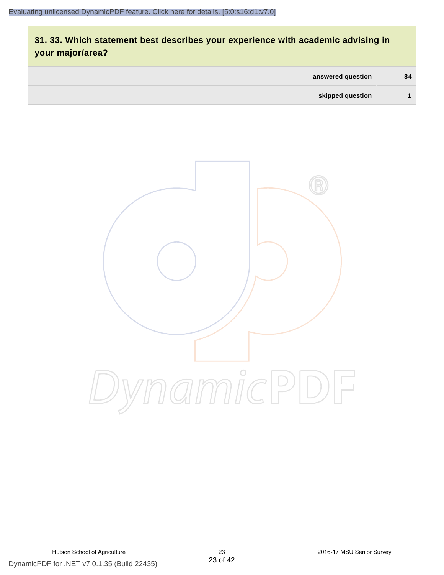# **31. 33. Which statement best describes your experience with academic advising in your major/area?**

| answered question | 84 |
|-------------------|----|
| skipped question  |    |

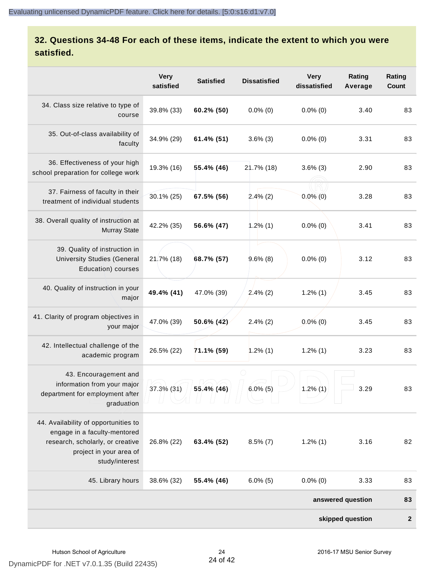# **32. Questions 34-48 For each of these items, indicate the extent to which you were satisfied.**

|                                                                                                                                                       | <b>Very</b><br>satisfied | <b>Satisfied</b> | <b>Dissatisfied</b> | <b>Very</b><br>dissatisfied | Rating<br>Average | Rating<br>Count  |
|-------------------------------------------------------------------------------------------------------------------------------------------------------|--------------------------|------------------|---------------------|-----------------------------|-------------------|------------------|
| 34. Class size relative to type of<br>course                                                                                                          | 39.8% (33)               | 60.2% (50)       | $0.0\%$ (0)         | $0.0\%$ (0)                 | 3.40              | 83               |
| 35. Out-of-class availability of<br>faculty                                                                                                           | 34.9% (29)               | 61.4% (51)       | $3.6\%$ (3)         | $0.0\%$ (0)                 | 3.31              | 83               |
| 36. Effectiveness of your high<br>school preparation for college work                                                                                 | 19.3% (16)               | 55.4% (46)       | 21.7% (18)          | $3.6\%$ (3)                 | 2.90              | 83               |
| 37. Fairness of faculty in their<br>treatment of individual students                                                                                  | 30.1% (25)               | 67.5% (56)       | $2.4\%$ (2)         | $0.0\%$ (0)                 | 3.28              | 83               |
| 38. Overall quality of instruction at<br><b>Murray State</b>                                                                                          | 42.2% (35)               | 56.6% (47)       | 1.2%(1)             | $0.0\%$ (0)                 | 3.41              | 83               |
| 39. Quality of instruction in<br><b>University Studies (General</b><br>Education) courses                                                             | 21.7% (18)               | 68.7% (57)       | $9.6\%$ (8)         | $0.0\%$ (0)                 | 3.12              | 83               |
| 40. Quality of instruction in your<br>major                                                                                                           | 49.4% (41)               | 47.0% (39)       | $2.4\%$ (2)         | $1.2\%$ $(1)$               | 3.45              | 83               |
| 41. Clarity of program objectives in<br>your major                                                                                                    | 47.0% (39)               | 50.6% (42)       | $2.4\%$ (2)         | $0.0\%$ (0)                 | 3.45              | 83               |
| 42. Intellectual challenge of the<br>academic program                                                                                                 | 26.5% (22)               | $71.1\%$ (59)    | $1.2\%$ $(1)$       | $1.2\%$ (1)                 | 3.23              | 83               |
| 43. Encouragement and<br>information from your major<br>department for employment after<br>graduation                                                 | 37.3% (31)               | 55.4% (46)       | $6.0\%$ (5)         | $1.2\%$ (1)                 | 3.29              | 83               |
| 44. Availability of opportunities to<br>engage in a faculty-mentored<br>research, scholarly, or creative<br>project in your area of<br>study/interest | 26.8% (22)               | 63.4% (52)       | $8.5\%$ (7)         | $1.2\%$ (1)                 | 3.16              | 82               |
| 45. Library hours                                                                                                                                     | 38.6% (32)               | 55.4% (46)       | $6.0\%$ (5)         | $0.0\%$ (0)                 | 3.33              | 83               |
| answered question                                                                                                                                     |                          |                  |                     |                             |                   | 83               |
| skipped question                                                                                                                                      |                          |                  |                     |                             |                   | $\boldsymbol{2}$ |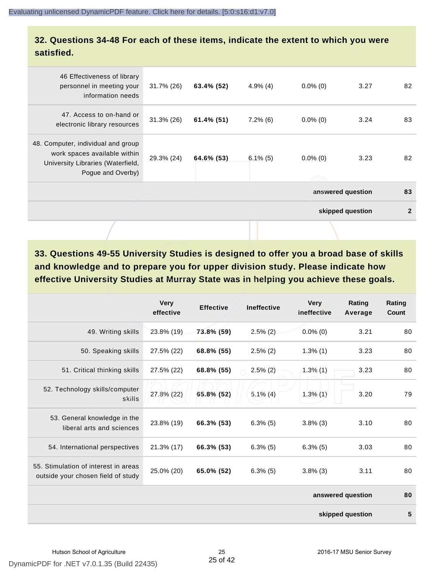#### **32. Questions 34-48 For each of these items, indicate the extent to which you were satisfied.**

| 46 Effectiveness of library<br>personnel in meeting your<br>information needs                                                | $31.7\%$ (26) | 63.4% (52)    | $4.9\%$ (4) | $0.0\%$ (0) | 3.27              | 82           |
|------------------------------------------------------------------------------------------------------------------------------|---------------|---------------|-------------|-------------|-------------------|--------------|
| 47. Access to on-hand or<br>electronic library resources                                                                     | 31.3% (26)    | $61.4\%$ (51) | $7.2\%$ (6) | $0.0\%$ (0) | 3.24              | 83           |
| 48. Computer, individual and group<br>work spaces available within<br>University Libraries (Waterfield,<br>Pogue and Overby) | 29.3% (24)    | 64.6% (53)    | $6.1\%$ (5) | $0.0\%$ (0) | 3.23              | 82           |
|                                                                                                                              |               |               |             |             | answered question | 83           |
|                                                                                                                              |               |               |             |             | skipped question  | $\mathbf{2}$ |
|                                                                                                                              |               |               |             |             |                   |              |

**33. Questions 49-55 University Studies is designed to offer you a broad base of skills and knowledge and to prepare you for upper division study. Please indicate how effective University Studies at Murray State was in helping you achieve these goals.**

|                                                                            | <b>Very</b><br>effective | <b>Effective</b> | <b>Ineffective</b> | <b>Very</b><br>ineffective | Rating<br>Average | Rating<br>Count |
|----------------------------------------------------------------------------|--------------------------|------------------|--------------------|----------------------------|-------------------|-----------------|
| 49. Writing skills                                                         | 23.8% (19)               | 73.8% (59)       | $2.5\%$ (2)        | $0.0\%$ (0)                | 3.21              | 80              |
| 50. Speaking skills                                                        | 27.5% (22)               | 68.8% (55)       | $2.5\%$ (2)        | $1.3\%$ (1)                | 3.23              | 80              |
| 51. Critical thinking skills                                               | 27.5% (22)               | 68.8% (55)       | $2.5\%$ (2)        | 1.3%(1)                    | 3.23              | 80              |
| 52. Technology skills/computer<br>skills                                   | 27.8% (22)               | 65.8% (52)       | $5.1\%$ (4)        | $1.3\%$ (1)                | 3.20              | 79              |
| 53. General knowledge in the<br>liberal arts and sciences                  | 23.8% (19)               | 66.3% (53)       | $6.3\%$ (5)        | $3.8\%$ (3)                | 3.10              | 80              |
| 54. International perspectives                                             | 21.3% (17)               | 66.3% (53)       | $6.3\%$ (5)        | $6.3\%$ (5)                | 3.03              | 80              |
| 55. Stimulation of interest in areas<br>outside your chosen field of study | 25.0% (20)               | 65.0% (52)       | $6.3\%$ (5)        | $3.8\%$ (3)                | 3.11              | 80              |
|                                                                            |                          |                  |                    |                            | answered question | 80              |
|                                                                            |                          |                  |                    |                            | skipped question  | 5               |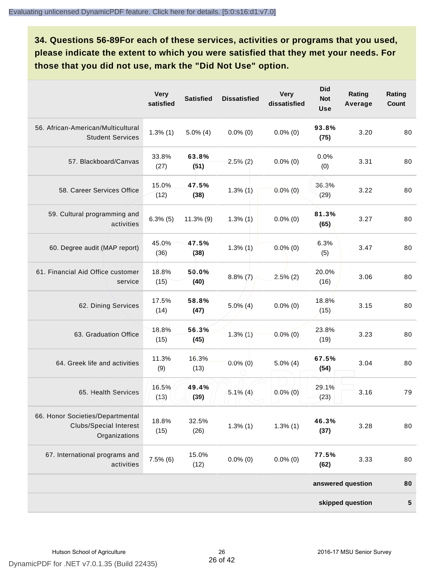**34. Questions 56-89For each of these services, activities or programs that you used, please indicate the extent to which you were satisfied that they met your needs. For those that you did not use, mark the "Did Not Use" option.**

|                                                                                    | <b>Very</b><br>satisfied | <b>Satisfied</b> | <b>Dissatisfied</b> | <b>Very</b><br>dissatisfied | <b>Did</b><br><b>Not</b><br><b>Use</b> | Rating<br>Average | Rating<br><b>Count</b> |
|------------------------------------------------------------------------------------|--------------------------|------------------|---------------------|-----------------------------|----------------------------------------|-------------------|------------------------|
| 56. African-American/Multicultural<br><b>Student Services</b>                      | $1.3\%$ (1)              | $5.0\%$ (4)      | $0.0\%$ (0)         | $0.0\%$ (0)                 | 93.8%<br>(75)                          | 3.20              | 80                     |
| 57. Blackboard/Canvas                                                              | 33.8%<br>(27)            | 63.8%<br>(51)    | $2.5\%$ (2)         | $0.0\%$ (0)                 | 0.0%<br>(0)                            | 3.31              | 80                     |
| 58. Career Services Office                                                         | 15.0%<br>(12)            | 47.5%<br>(38)    | $1.3\%$ (1)         | $0.0\%$ (0)                 | 36.3%<br>(29)                          | 3.22              | 80                     |
| 59. Cultural programming and<br>activities                                         | $6.3\%$ (5)              | $11.3\%$ (9)     | $1.3\%$ (1)         | $0.0\%$ (0)                 | 81.3%<br>(65)                          | 3.27              | 80                     |
| 60. Degree audit (MAP report)                                                      | 45.0%<br>(36)            | 47.5%<br>(38)    | $1.3\%$ (1)         | $0.0\%$ (0)                 | 6.3%<br>(5)                            | 3.47              | 80                     |
| 61. Financial Aid Office customer<br>service                                       | 18.8%<br>(15)            | 50.0%<br>(40)    | $8.8\%$ (7)         | $2.5\%$ (2)                 | 20.0%<br>(16)                          | 3.06              | 80                     |
| 62. Dining Services                                                                | 17.5%<br>(14)            | 58.8%<br>(47)    | $5.0\%$ (4)         | $0.0\%$ (0)                 | 18.8%<br>(15)                          | 3.15              | 80                     |
| 63. Graduation Office                                                              | 18.8%<br>(15)            | 56.3%<br>(45)    | $1.3\%$ (1)         | $0.0\%$ (0)                 | 23.8%<br>(19)                          | 3.23              | 80                     |
| 64. Greek life and activities                                                      | 11.3%<br>(9)             | 16.3%<br>(13)    | $0.0\%$ (0)         | $5.0\%$ (4)                 | 67.5%<br>(54)                          | 3.04              | 80                     |
| 65. Health Services                                                                | 16.5%<br>(13)            | 49.4%<br>(39)    | $5.1\%$ (4)         | $0.0\%$ (0)                 | 29.1%<br>(23)                          | 3.16              | 79                     |
| 66. Honor Societies/Departmental<br><b>Clubs/Special Interest</b><br>Organizations | 18.8%<br>(15)            | 32.5%<br>(26)    | $1.3\%$ (1)         | $1.3\%$ (1)                 | 46.3%<br>(37)                          | 3.28              | 80                     |
| 67. International programs and<br>activities                                       | $7.5\%$ (6)              | 15.0%<br>(12)    | $0.0\%$ (0)         | $0.0\%$ (0)                 | 77.5%<br>(62)                          | 3.33              | 80                     |
|                                                                                    |                          |                  |                     |                             |                                        | answered question | 80                     |
|                                                                                    |                          |                  |                     |                             |                                        | skipped question  | ${\bf 5}$              |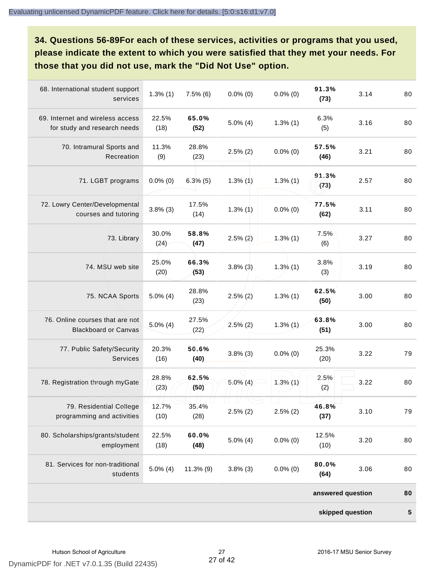**34. Questions 56-89For each of these services, activities or programs that you used, please indicate the extent to which you were satisfied that they met your needs. For those that you did not use, mark the "Did Not Use" option.**

| 68. International student support<br>services                    | $1.3\%$ $(1)$ | $7.5\%$ (6)   | $0.0\%$ (0) | $0.0\%$ (0) | 91.3%<br>(73)     | 3.14 | 80 |
|------------------------------------------------------------------|---------------|---------------|-------------|-------------|-------------------|------|----|
| 69. Internet and wireless access<br>for study and research needs | 22.5%<br>(18) | 65.0%<br>(52) | $5.0\%$ (4) | $1.3\%$ (1) | 6.3%<br>(5)       | 3.16 | 80 |
| 70. Intramural Sports and<br>Recreation                          | 11.3%<br>(9)  | 28.8%<br>(23) | $2.5\%$ (2) | $0.0\%$ (0) | 57.5%<br>(46)     | 3.21 | 80 |
| 71. LGBT programs                                                | $0.0\%$ (0)   | $6.3\%$ (5)   | $1.3\%$ (1) | $1.3\%$ (1) | 91.3%<br>(73)     | 2.57 | 80 |
| 72. Lowry Center/Developmental<br>courses and tutoring           | $3.8\%$ (3)   | 17.5%<br>(14) | $1.3\%$ (1) | $0.0\%$ (0) | 77.5%<br>(62)     | 3.11 | 80 |
| 73. Library                                                      | 30.0%<br>(24) | 58.8%<br>(47) | $2.5\%$ (2) | $1.3\%$ (1) | 7.5%<br>(6)       | 3.27 | 80 |
| 74. MSU web site                                                 | 25.0%<br>(20) | 66.3%<br>(53) | $3.8\%$ (3) | $1.3\%$ (1) | 3.8%<br>(3)       | 3.19 | 80 |
| 75. NCAA Sports                                                  | $5.0\%$ (4)   | 28.8%<br>(23) | $2.5\%$ (2) | $1.3\%$ (1) | 62.5%<br>(50)     | 3.00 | 80 |
| 76. Online courses that are not<br><b>Blackboard or Canvas</b>   | $5.0\%$ (4)   | 27.5%<br>(22) | $2.5\%$ (2) | $1.3\%$ (1) | 63.8%<br>(51)     | 3.00 | 80 |
| 77. Public Safety/Security<br><b>Services</b>                    | 20.3%<br>(16) | 50.6%<br>(40) | $3.8\%$ (3) | $0.0\%$ (0) | 25.3%<br>(20)     | 3.22 | 79 |
| 78. Registration through myGate                                  | 28.8%<br>(23) | 62.5%<br>(50) | $5.0\%$ (4) | $1.3\%$ (1) | 2.5%<br>(2)       | 3.22 | 80 |
| 79. Residential College<br>programming and activities            | 12.7%<br>(10) | 35.4%<br>(28) | $2.5\%$ (2) | $2.5\%$ (2) | 46.8%<br>(37)     | 3.10 | 79 |
| 80. Scholarships/grants/student<br>employment                    | 22.5%<br>(18) | 60.0%<br>(48) | $5.0\%$ (4) | $0.0\%$ (0) | 12.5%<br>(10)     | 3.20 | 80 |
| 81. Services for non-traditional<br>students                     | $5.0\%$ (4)   | $11.3\%$ (9)  | $3.8\%$ (3) | $0.0\%$ (0) | 80.0%<br>(64)     | 3.06 | 80 |
|                                                                  |               |               |             |             | answered question |      | 80 |
|                                                                  |               |               |             |             | skipped question  |      | 5  |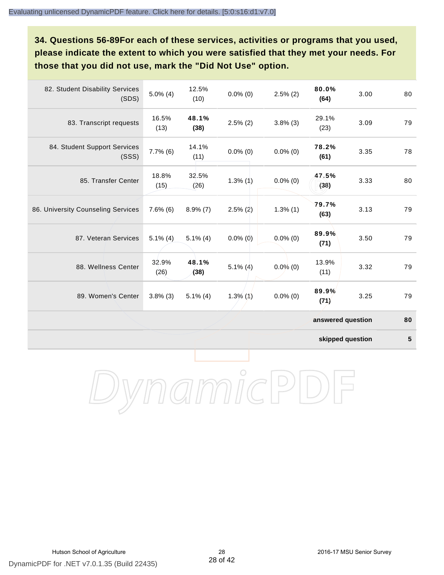**34. Questions 56-89For each of these services, activities or programs that you used, please indicate the extent to which you were satisfied that they met your needs. For those that you did not use, mark the "Did Not Use" option.**

| 82. Student Disability Services<br>(SDS) | $5.0\%$ (4)   | 12.5%<br>(10) | $0.0\%$ (0)   | $2.5\%$ (2) | 80.0%<br>(64)     | 3.00 | 80 |
|------------------------------------------|---------------|---------------|---------------|-------------|-------------------|------|----|
| 83. Transcript requests                  | 16.5%<br>(13) | 48.1%<br>(38) | $2.5\%$ (2)   | $3.8\%$ (3) | 29.1%<br>(23)     | 3.09 | 79 |
| 84. Student Support Services<br>(SSS)    | $7.7\%$ (6)   | 14.1%<br>(11) | $0.0\%$ (0)   | $0.0\%$ (0) | 78.2%<br>(61)     | 3.35 | 78 |
| 85. Transfer Center                      | 18.8%<br>(15) | 32.5%<br>(26) | $1.3\%$ $(1)$ | $0.0\%$ (0) | 47.5%<br>(38)     | 3.33 | 80 |
| 86. University Counseling Services       | $7.6\%$ (6)   | $8.9\%$ (7)   | $2.5\%$ (2)   | $1.3\%$ (1) | 79.7%<br>(63)     | 3.13 | 79 |
| 87. Veteran Services                     | $5.1\%$ (4)   | $5.1\%$ (4)   | $0.0\%$ (0)   | $0.0\%$ (0) | 89.9%<br>(71)     | 3.50 | 79 |
| 88. Wellness Center                      | 32.9%<br>(26) | 48.1%<br>(38) | $5.1\%$ (4)   | $0.0\%$ (0) | 13.9%<br>(11)     | 3.32 | 79 |
| 89. Women's Center                       | $3.8\%$ (3)   | $5.1\%$ (4)   | $1.3\%$ $(1)$ | $0.0\%$ (0) | 89.9%<br>(71)     | 3.25 | 79 |
|                                          |               |               |               |             | answered question |      | 80 |

**skipped question 5**

DynamicPDF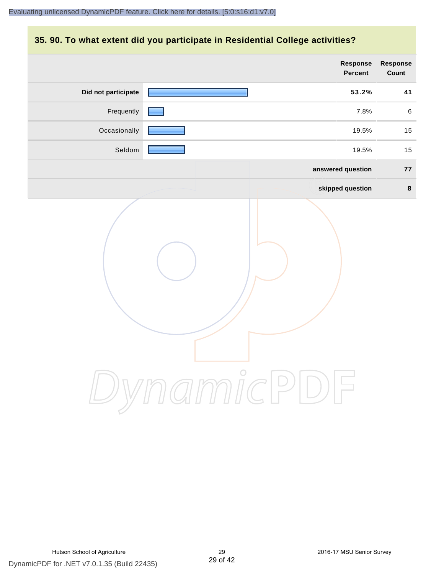#### **35. 90. To what extent did you participate in Residential College activities?**

|                     | Response<br>Percent   | <b>Response</b><br>Count |
|---------------------|-----------------------|--------------------------|
| Did not participate | 53.2%                 | 41                       |
| Frequently          | 7.8%                  | $\,6\,$                  |
| Occasionally        | 19.5%                 | 15                       |
| Seldom              | 19.5%                 | 15                       |
|                     | answered question     | 77                       |
|                     | skipped question      | $\bf{8}$                 |
|                     | ynamicPl<br>$\bigcup$ |                          |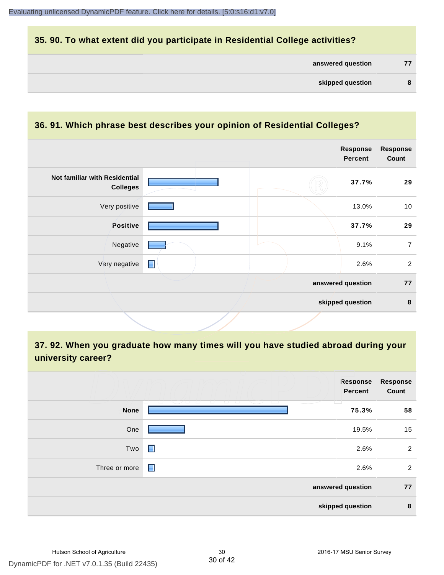#### **35. 90. To what extent did you participate in Residential College activities?**

| answered question |  |
|-------------------|--|
|-------------------|--|

#### **36. 91. Which phrase best describes your opinion of Residential Colleges?**

|                                                  |                | Response<br><b>Percent</b> | <b>Response</b><br>Count |
|--------------------------------------------------|----------------|----------------------------|--------------------------|
| Not familiar with Residential<br><b>Colleges</b> |                | 37.7%                      | 29                       |
| Very positive                                    |                | 13.0%                      | 10                       |
| Positive                                         |                | 37.7%                      | 29                       |
| Negative                                         |                | 9.1%                       | $\overline{7}$           |
| Very negative                                    | $\blacksquare$ | 2.6%                       | $\overline{2}$           |
|                                                  |                | answered question          | 77                       |
|                                                  |                | skipped question           | $\pmb{8}$                |

# **37. 92. When you graduate how many times will you have studied abroad during your university career?**

|               | Response<br>Percent                                     | <b>Response</b><br>Count |
|---------------|---------------------------------------------------------|--------------------------|
| <b>None</b>   | <u>tan Serangara</u><br>- 1 - 1 - 1<br>الكاتبا<br>75.3% | 58                       |
| One           | 19.5%                                                   | 15                       |
| Two           | 2.6%<br>$\blacksquare$                                  | $\overline{2}$           |
| Three or more | $\blacksquare$<br>2.6%                                  | $\overline{2}$           |
|               | answered question                                       | 77                       |
|               | skipped question                                        | 8                        |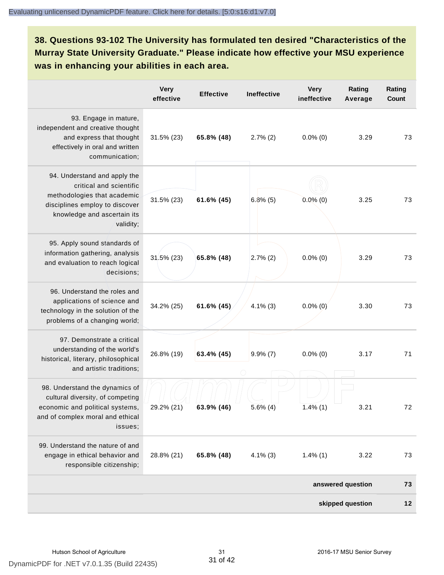**38. Questions 93-102 The University has formulated ten desired "Characteristics of the Murray State University Graduate." Please indicate how effective your MSU experience was in enhancing your abilities in each area.**

|                                                                                                                                                                      | <b>Very</b><br>effective | <b>Effective</b> | <b>Ineffective</b> | <b>Very</b><br>ineffective | Rating<br>Average | Rating<br>Count |
|----------------------------------------------------------------------------------------------------------------------------------------------------------------------|--------------------------|------------------|--------------------|----------------------------|-------------------|-----------------|
| 93. Engage in mature,<br>independent and creative thought<br>and express that thought<br>effectively in oral and written<br>communication;                           | 31.5% (23)               | 65.8% (48)       | $2.7\%$ (2)        | $0.0\%$ (0)                | 3.29              | 73              |
| 94. Understand and apply the<br>critical and scientific<br>methodologies that academic<br>disciplines employ to discover<br>knowledge and ascertain its<br>validity; | 31.5% (23)               | 61.6% (45)       | $6.8\%$ (5)        | $0.0\%$ (0)                | 3.25              | 73              |
| 95. Apply sound standards of<br>information gathering, analysis<br>and evaluation to reach logical<br>decisions;                                                     | $31.5\%$ (23)            | 65.8% (48)       | $2.7\%$ (2)        | $0.0\%$ (0)                | 3.29              | 73              |
| 96. Understand the roles and<br>applications of science and<br>technology in the solution of the<br>problems of a changing world;                                    | 34.2% (25)               | 61.6% (45)       | $4.1\%$ (3)        | $0.0\%$ (0)                | 3.30              | 73              |
| 97. Demonstrate a critical<br>understanding of the world's<br>historical, literary, philosophical<br>and artistic traditions;                                        | 26.8% (19)               | 63.4% (45)       | $9.9\%$ (7)        | $0.0\%$ (0)                | 3.17              | 71              |
| 98. Understand the dynamics of<br>cultural diversity, of competing<br>economic and political systems,<br>and of complex moral and ethical<br>issues;                 | 29.2% (21)               | $63.9\%$ (46)    | $5.6\%$ (4)        | $1.4\%$ (1)                | 3.21              | 72              |
| 99. Understand the nature of and<br>engage in ethical behavior and<br>responsible citizenship;                                                                       | 28.8% (21)               | 65.8% (48)       | $4.1\%$ (3)        | $1.4\%$ (1)                | 3.22              | 73              |
|                                                                                                                                                                      |                          |                  |                    |                            | answered question | 73              |
|                                                                                                                                                                      |                          |                  |                    |                            | skipped question  | 12              |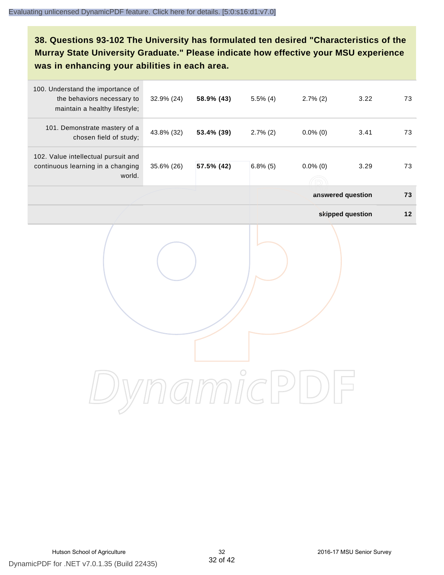# **38. Questions 93-102 The University has formulated ten desired "Characteristics of the Murray State University Graduate." Please indicate how effective your MSU experience was in enhancing your abilities in each area.**

| 100. Understand the importance of<br>the behaviors necessary to<br>maintain a healthy lifestyle; | 32.9% (24) | 58.9% (43) | $5.5\%$ (4) | $2.7\%$ (2)       | 3.22             | 73   |
|--------------------------------------------------------------------------------------------------|------------|------------|-------------|-------------------|------------------|------|
| 101. Demonstrate mastery of a<br>chosen field of study;                                          | 43.8% (32) | 53.4% (39) | $2.7\%$ (2) | $0.0\%$ (0)       | 3.41             | 73   |
| 102. Value intellectual pursuit and<br>continuous learning in a changing<br>world.               | 35.6% (26) | 57.5% (42) | $6.8\%$ (5) | $0.0\%$ (0)       | 3.29             | 73   |
|                                                                                                  |            |            |             | answered question |                  | 73   |
|                                                                                                  |            |            |             |                   | skipped question | $12$ |
|                                                                                                  |            |            |             |                   |                  |      |
|                                                                                                  |            |            |             |                   |                  |      |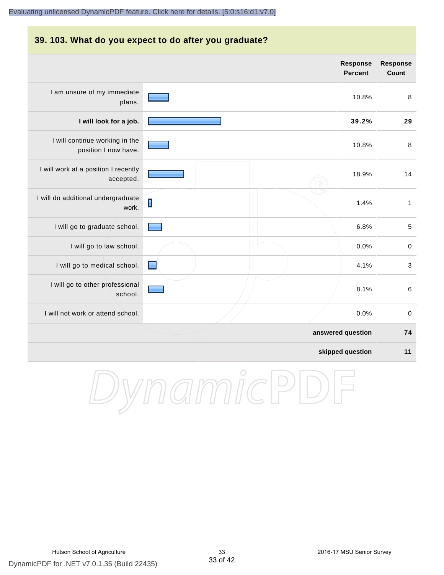#### **39. 103. What do you expect to do after you graduate? Response Response Percent Count** I am unsure of my immediate 10.8% 8 plans. **I will look for a job. 39.2% 29** I will continue working in the 10.8% 8 position I now have. I will work at a position I recently 18.9% 14 accepted. I will do additional undergraduate  $\blacksquare$ 1.4% 1 work. I will go to graduate school. **Figure 1.0** to the school. **Figure 1.0** to the school. **5** I will go to law school.  $\sim$  0.0% 0 I will go to medical school.  $\Box$ I will go to other professional 8.1% 6 school. I will not work or attend school. 0.0% 0 **answered question 74 skipped question 11**

DynamicPD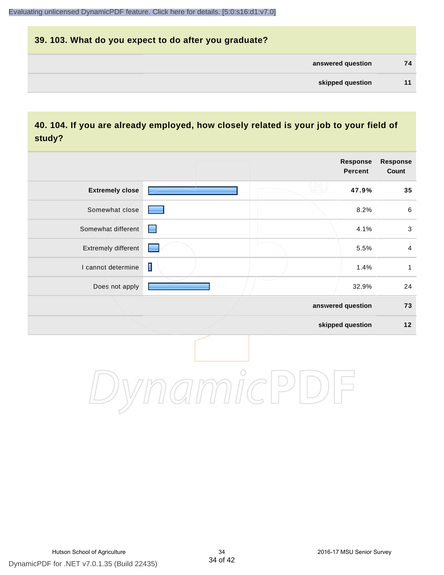# **39. 103. What do you expect to do after you graduate? answered question 74 skipped question 11**

#### **40. 104. If you are already employed, how closely related is your job to your field of study?**

|                        |             | <b>Response</b><br><b>Percent</b> | <b>Response</b><br>Count |
|------------------------|-------------|-----------------------------------|--------------------------|
| <b>Extremely close</b> |             | 47.9%                             | 35                       |
| Somewhat close         |             | 8.2%                              | $\,6\,$                  |
| Somewhat different     | ▀           | 4.1%                              | $\sqrt{3}$               |
| Extremely different    |             | 5.5%                              | $\overline{4}$           |
| I cannot determine     | $\mathbf I$ | 1.4%                              | $\mathbf{1}$             |
| Does not apply         |             | 32.9%                             | 24                       |
|                        |             | answered question                 | 73                       |
|                        |             | skipped question                  | $12$                     |
|                        | $\bigcirc$  |                                   |                          |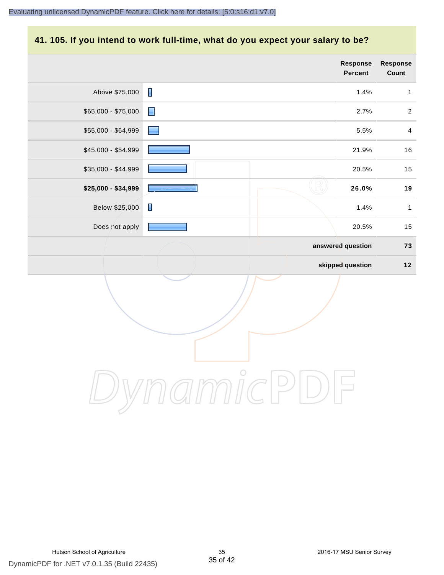#### **41. 105. If you intend to work full-time, what do you expect your salary to be?**

|                     |                                                                                                                                                                                                                                | <b>Response</b><br><b>Percent</b> | Response<br>Count       |
|---------------------|--------------------------------------------------------------------------------------------------------------------------------------------------------------------------------------------------------------------------------|-----------------------------------|-------------------------|
| Above \$75,000      | $\blacksquare$                                                                                                                                                                                                                 | 1.4%                              | $\mathbf{1}$            |
| $$65,000 - $75,000$ | $\blacksquare$                                                                                                                                                                                                                 | 2.7%                              | $\overline{2}$          |
| \$55,000 - \$64,999 | a series de la propie de la propie de la propie de la propie de la propie de la propie de la propie de la propie de la propie de la propie de la propie de la propie de la propie de la propie de la propie de la propie de la | 5.5%                              | $\overline{\mathbf{4}}$ |
| \$45,000 - \$54,999 |                                                                                                                                                                                                                                | 21.9%                             | $16$                    |
| \$35,000 - \$44,999 |                                                                                                                                                                                                                                | 20.5%                             | 15                      |
| \$25,000 - \$34,999 |                                                                                                                                                                                                                                | 26.0%                             | $19$                    |
| Below \$25,000      | $\blacksquare$                                                                                                                                                                                                                 | 1.4%                              | $\mathbf{1}$            |
| Does not apply      |                                                                                                                                                                                                                                | 20.5%                             | 15                      |
|                     |                                                                                                                                                                                                                                | answered question                 | 73                      |
|                     |                                                                                                                                                                                                                                | skipped question                  | $12$                    |
|                     |                                                                                                                                                                                                                                |                                   |                         |

DynamicPDF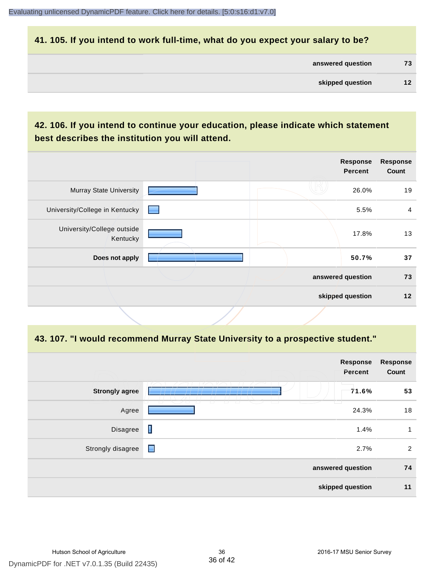#### **41. 105. If you intend to work full-time, what do you expect your salary to be?**

| answered question | 73 |
|-------------------|----|
|                   |    |

#### **42. 106. If you intend to continue your education, please indicate which statement best describes the institution you will attend.**

|                                        |                 | <b>Response</b><br><b>Percent</b> | <b>Response</b><br>Count |
|----------------------------------------|-----------------|-----------------------------------|--------------------------|
| <b>Murray State University</b>         |                 | 26.0%                             | 19                       |
| University/College in Kentucky         | <b>Contract</b> | 5.5%                              | 4                        |
| University/College outside<br>Kentucky |                 | 17.8%                             | 13                       |
| Does not apply                         |                 | 50.7%                             | 37                       |
|                                        |                 | answered question                 | 73                       |
|                                        |                 | skipped question                  | 12                       |

#### **43. 107. "I would recommend Murray State University to a prospective student."**

|                       |                                        | <b>Response</b><br>Percent | <b>Response</b><br>Count |
|-----------------------|----------------------------------------|----------------------------|--------------------------|
| <b>Strongly agree</b> |                                        | 71.6%                      | 53                       |
| Agree                 | $\sqrt{2}$<br>$\overline{\phantom{a}}$ | 24.3%                      | 18                       |
| Disagree              | Π                                      | 1.4%                       | 1                        |
| Strongly disagree     | $\blacksquare$                         | 2.7%                       | 2                        |
| answered question     |                                        | 74                         |                          |
|                       |                                        | skipped question           | 11                       |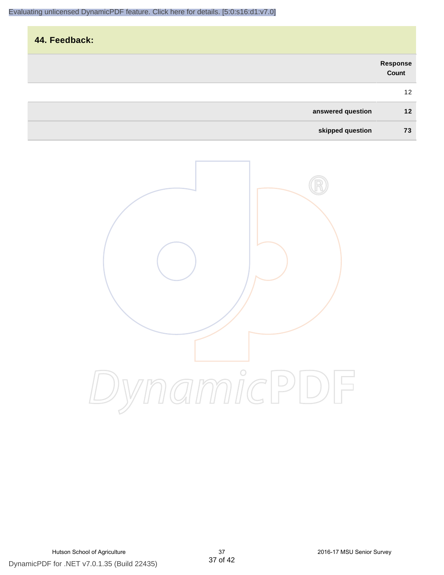| 44. Feedback:     |                   |
|-------------------|-------------------|
|                   | Response<br>Count |
|                   | 12                |
| answered question | 12                |
| skipped question  | 73                |

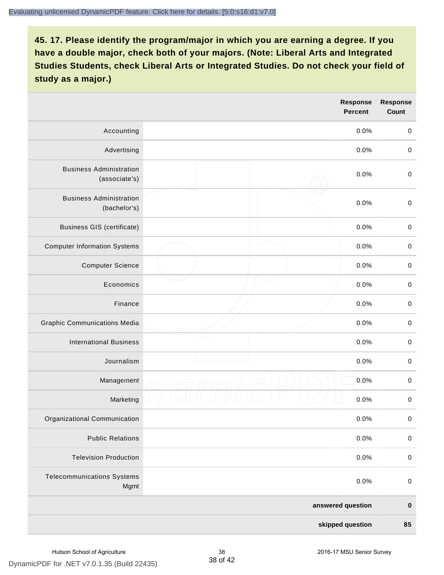|                                                 |                  | Response<br><b>Percent</b> | <b>Response</b><br><b>Count</b> |
|-------------------------------------------------|------------------|----------------------------|---------------------------------|
| Accounting                                      |                  | 0.0%                       | $\mathbf 0$                     |
| Advertising                                     |                  | 0.0%                       | $\,0\,$                         |
| <b>Business Administration</b><br>(associate's) |                  | 0.0%                       | $\pmb{0}$                       |
| <b>Business Administration</b><br>(bachelor's)  |                  | 0.0%                       | $\mathbf 0$                     |
| <b>Business GIS (certificate)</b>               |                  | 0.0%                       | $\pmb{0}$                       |
| <b>Computer Information Systems</b>             |                  | 0.0%                       | $\pmb{0}$                       |
| <b>Computer Science</b>                         |                  | 0.0%                       | $\mathbf 0$                     |
| Economics                                       |                  | 0.0%                       | $\mathbf 0$                     |
| Finance                                         |                  | 0.0%                       | $\pmb{0}$                       |
| <b>Graphic Communications Media</b>             |                  | 0.0%                       | $\,0\,$                         |
| <b>International Business</b>                   |                  | 0.0%                       | $\pmb{0}$                       |
| Journalism                                      |                  | 0.0%                       | $\mathbf 0$                     |
| Management                                      |                  | 0.0%                       | $\pmb{0}$                       |
| Marketing                                       |                  | 0.0%                       | $\pmb{0}$                       |
| Organizational Communication                    |                  | 0.0%                       | 0                               |
| <b>Public Relations</b>                         |                  | 0.0%                       | $\mathbf 0$                     |
| <b>Television Production</b>                    |                  | 0.0%                       | $\mathbf 0$                     |
| <b>Telecommunications Systems</b><br>Mgmt       |                  | 0.0%                       | $\mathbf 0$                     |
|                                                 |                  | answered question          | $\pmb{0}$                       |
|                                                 | skipped question |                            | 85                              |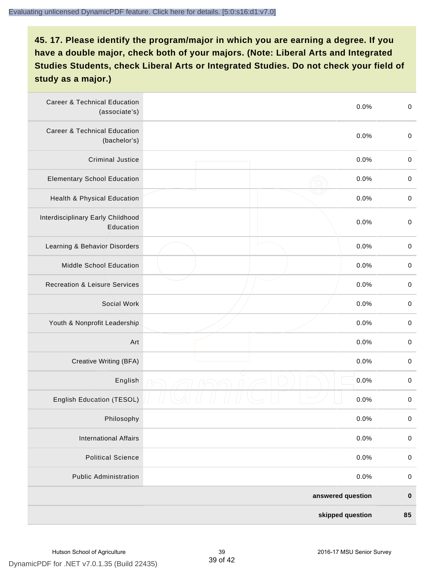| <b>Career &amp; Technical Education</b><br>(associate's) | 0.0%              | $\pmb{0}$   |
|----------------------------------------------------------|-------------------|-------------|
| <b>Career &amp; Technical Education</b><br>(bachelor's)  | 0.0%              | $\mathbf 0$ |
| <b>Criminal Justice</b>                                  | 0.0%              | $\,0\,$     |
| <b>Elementary School Education</b>                       | 0.0%              | $\,0\,$     |
| Health & Physical Education                              | 0.0%              | $\,0\,$     |
| Interdisciplinary Early Childhood<br>Education           | 0.0%              | $\pmb{0}$   |
| Learning & Behavior Disorders                            | 0.0%              | $\,0\,$     |
| Middle School Education                                  | 0.0%              | $\mathbf 0$ |
| <b>Recreation &amp; Leisure Services</b>                 | 0.0%              | $\mathbf 0$ |
| Social Work                                              | 0.0%              | $\mathbf 0$ |
| Youth & Nonprofit Leadership                             | 0.0%              | $\mathbf 0$ |
| Art                                                      | 0.0%              | $\,0\,$     |
| Creative Writing (BFA)                                   | 0.0%              | $\pmb{0}$   |
| English                                                  | 0.0%              | $\pmb{0}$   |
| English Education (TESOL)                                | 0.0%              | $\pmb{0}$   |
| Philosophy                                               | 0.0%              | 0           |
| <b>International Affairs</b>                             | 0.0%              | $\pmb{0}$   |
| <b>Political Science</b>                                 | 0.0%              | $\mathbf 0$ |
| <b>Public Administration</b>                             | 0.0%              | $\mathbf 0$ |
|                                                          | answered question | $\pmb{0}$   |
|                                                          | skipped question  | 85          |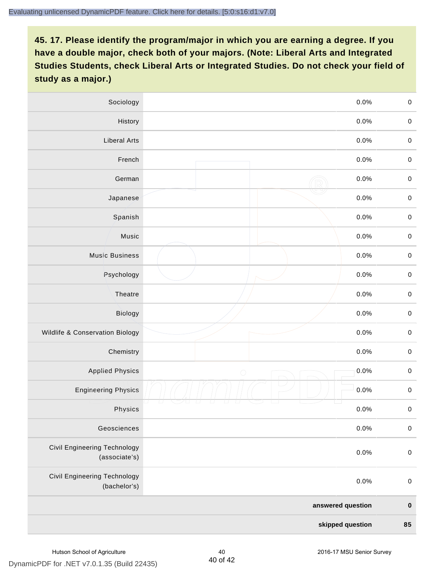| Sociology                                           | 0.0%               | $\mathbf 0$ |
|-----------------------------------------------------|--------------------|-------------|
| History                                             | $0.0\%$            | $\mathbf 0$ |
| <b>Liberal Arts</b>                                 | 0.0%               | $\mathbf 0$ |
| French                                              | 0.0%               | $\pmb{0}$   |
| German                                              | 0.0%               | $\mathbf 0$ |
| Japanese                                            | 0.0%               | $\mathbf 0$ |
| Spanish                                             | 0.0%               | $\mathbf 0$ |
| Music                                               | 0.0%               | $\mathbf 0$ |
| <b>Music Business</b>                               | 0.0%               | $\pmb{0}$   |
| Psychology                                          | 0.0%               | $\mathbf 0$ |
| Theatre                                             | 0.0%               | $\mathbf 0$ |
| Biology                                             | 0.0%               | $\mathbf 0$ |
| Wildlife & Conservation Biology                     | 0.0%               | $\pmb{0}$   |
| Chemistry                                           | 0.0%               | $\pmb{0}$   |
| <b>Applied Physics</b>                              | 0.0%<br>$\bigcirc$ | $\mathbf 0$ |
| <b>Engineering Physics</b>                          | 0.0%               | $\mathbf 0$ |
| Physics                                             | 0.0%               | $\mathbf 0$ |
| Geosciences                                         | 0.0%               | $\pmb{0}$   |
| Civil Engineering Technology<br>(associate's)       | 0.0%               | $\pmb{0}$   |
| <b>Civil Engineering Technology</b><br>(bachelor's) | 0.0%               | $\pmb{0}$   |
|                                                     | answered question  | $\pmb{0}$   |
| skipped question                                    |                    | 85          |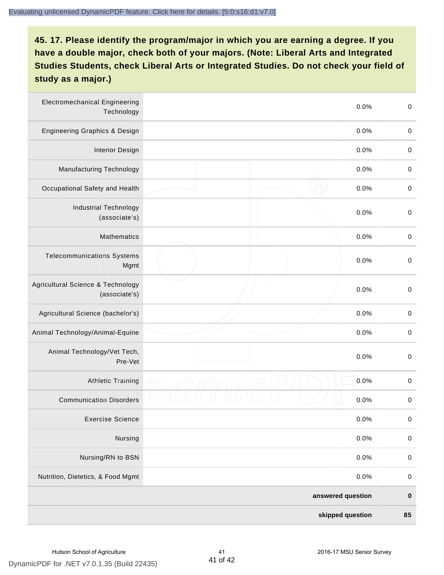| <b>Electromechanical Engineering</b><br>Technology | 0.0%              | $\mathbf 0$ |
|----------------------------------------------------|-------------------|-------------|
| <b>Engineering Graphics &amp; Design</b>           | 0.0%              | $\mathbf 0$ |
| <b>Interior Design</b>                             | 0.0%              | $\pmb{0}$   |
| Manufacturing Technology                           | 0.0%              | 0           |
| Occupational Safety and Health                     | 0.0%              | $\pmb{0}$   |
| <b>Industrial Technology</b><br>(associate's)      | 0.0%              | $\pmb{0}$   |
| <b>Mathematics</b>                                 | 0.0%              | $\,0\,$     |
| <b>Telecommunications Systems</b><br>Mgmt          | 0.0%              | $\,0\,$     |
| Agricultural Science & Technology<br>(associate's) | 0.0%              | $\mathbf 0$ |
| Agricultural Science (bachelor's)                  | 0.0%              | $\mathbf 0$ |
| Animal Technology/Animal-Equine                    | 0.0%              | $\,0\,$     |
| Animal Technology/Vet Tech,<br>Pre-Vet             | 0.0%              | $\pmb{0}$   |
| <b>Athletic Training</b>                           | 0.0%              | $\pmb{0}$   |
| <b>Communication Disorders</b>                     | 0.0%              | 0           |
| <b>Exercise Science</b>                            | 0.0%              | $\pmb{0}$   |
| Nursing                                            | 0.0%              | $\pmb{0}$   |
| Nursing/RN to BSN                                  | 0.0%              | $\pmb{0}$   |
| Nutrition, Dietetics, & Food Mgmt                  | 0.0%              | $\mathbf 0$ |
|                                                    | answered question | $\pmb{0}$   |
|                                                    | skipped question  | 85          |